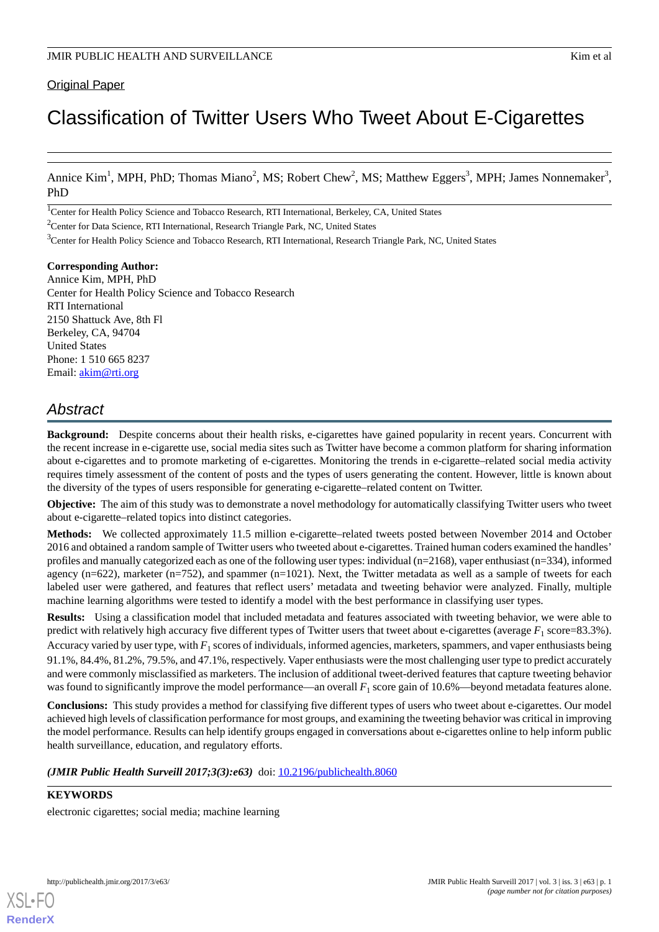### **Original Paper**

# Classification of Twitter Users Who Tweet About E-Cigarettes

Annice Kim<sup>1</sup>, MPH, PhD; Thomas Miano<sup>2</sup>, MS; Robert Chew<sup>2</sup>, MS; Matthew Eggers<sup>3</sup>, MPH; James Nonnemaker<sup>3</sup>, PhD

<sup>1</sup>Center for Health Policy Science and Tobacco Research, RTI International, Berkeley, CA, United States

<sup>2</sup>Center for Data Science, RTI International, Research Triangle Park, NC, United States

<sup>3</sup>Center for Health Policy Science and Tobacco Research, RTI International, Research Triangle Park, NC, United States

**Corresponding Author:**

Annice Kim, MPH, PhD Center for Health Policy Science and Tobacco Research RTI International 2150 Shattuck Ave, 8th Fl Berkeley, CA, 94704 United States Phone: 1 510 665 8237 Email: [akim@rti.org](mailto:akim@rti.org)

# *Abstract*

**Background:** Despite concerns about their health risks, e-cigarettes have gained popularity in recent years. Concurrent with the recent increase in e-cigarette use, social media sites such as Twitter have become a common platform for sharing information about e-cigarettes and to promote marketing of e-cigarettes. Monitoring the trends in e-cigarette–related social media activity requires timely assessment of the content of posts and the types of users generating the content. However, little is known about the diversity of the types of users responsible for generating e-cigarette–related content on Twitter.

**Objective:** The aim of this study was to demonstrate a novel methodology for automatically classifying Twitter users who tweet about e-cigarette–related topics into distinct categories.

**Methods:** We collected approximately 11.5 million e-cigarette–related tweets posted between November 2014 and October 2016 and obtained a random sample of Twitter users who tweeted about e-cigarettes. Trained human coders examined the handles' profiles and manually categorized each as one of the following user types: individual (n=2168), vaper enthusiast (n=334), informed agency (n=622), marketer (n=752), and spammer (n=1021). Next, the Twitter metadata as well as a sample of tweets for each labeled user were gathered, and features that reflect users' metadata and tweeting behavior were analyzed. Finally, multiple machine learning algorithms were tested to identify a model with the best performance in classifying user types.

**Results:** Using a classification model that included metadata and features associated with tweeting behavior, we were able to predict with relatively high accuracy five different types of Twitter users that tweet about e-cigarettes (average  $F_1$  score=83.3%). Accuracy varied by user type, with  $F_1$  scores of individuals, informed agencies, marketers, spammers, and vaper enthusiasts being 91.1%, 84.4%, 81.2%, 79.5%, and 47.1%, respectively. Vaper enthusiasts were the most challenging user type to predict accurately and were commonly misclassified as marketers. The inclusion of additional tweet-derived features that capture tweeting behavior was found to significantly improve the model performance—an overall  $F_1$  score gain of  $10.6\%$ —beyond metadata features alone.

**Conclusions:** This study provides a method for classifying five different types of users who tweet about e-cigarettes. Our model achieved high levels of classification performance for most groups, and examining the tweeting behavior was critical in improving the model performance. Results can help identify groups engaged in conversations about e-cigarettes online to help inform public health surveillance, education, and regulatory efforts.

*(JMIR Public Health Surveill 2017;3(3):e63)* doi: [10.2196/publichealth.8060](http://dx.doi.org/10.2196/publichealth.8060)

### **KEYWORDS**

electronic cigarettes; social media; machine learning

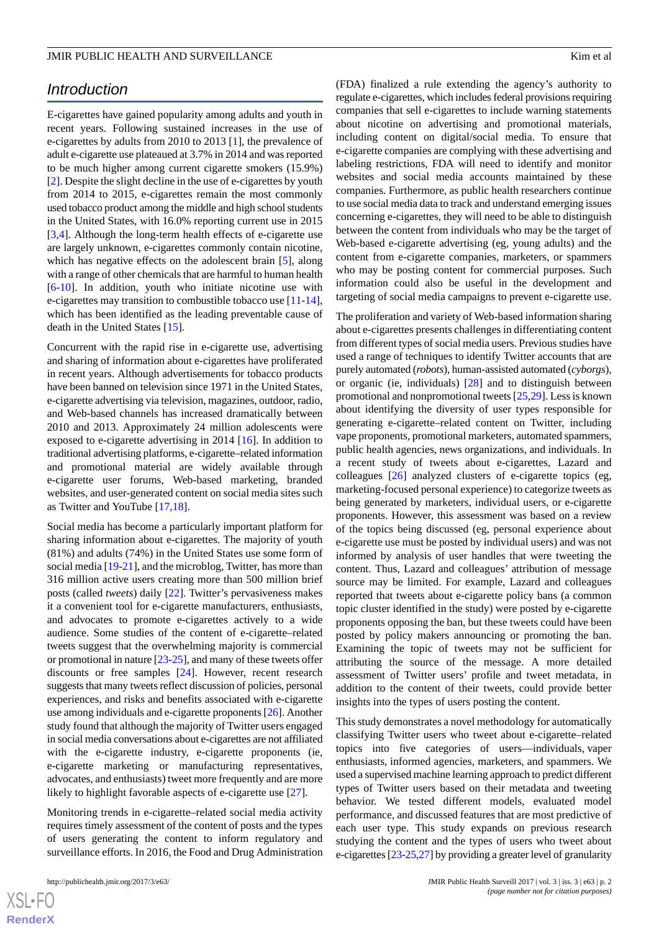## *Introduction*

E-cigarettes have gained popularity among adults and youth in recent years. Following sustained increases in the use of e-cigarettes by adults from 2010 to 2013 [\[1](#page-9-0)], the prevalence of adult e-cigarette use plateaued at 3.7% in 2014 and was reported to be much higher among current cigarette smokers (15.9%) [[2\]](#page-9-1). Despite the slight decline in the use of e-cigarettes by youth from 2014 to 2015, e-cigarettes remain the most commonly used tobacco product among the middle and high school students in the United States, with 16.0% reporting current use in 2015 [[3](#page-9-2)[,4](#page-9-3)]. Although the long-term health effects of e-cigarette use are largely unknown, e-cigarettes commonly contain nicotine, which has negative effects on the adolescent brain [\[5](#page-9-4)], along with a range of other chemicals that are harmful to human health [[6](#page-9-5)[-10](#page-9-6)]. In addition, youth who initiate nicotine use with e-cigarettes may transition to combustible tobacco use [\[11](#page-9-7)-[14\]](#page-9-8), which has been identified as the leading preventable cause of death in the United States [\[15](#page-10-0)].

Concurrent with the rapid rise in e-cigarette use, advertising and sharing of information about e-cigarettes have proliferated in recent years. Although advertisements for tobacco products have been banned on television since 1971 in the United States, e-cigarette advertising via television, magazines, outdoor, radio, and Web-based channels has increased dramatically between 2010 and 2013. Approximately 24 million adolescents were exposed to e-cigarette advertising in 2014 [\[16](#page-10-1)]. In addition to traditional advertising platforms, e-cigarette–related information and promotional material are widely available through e-cigarette user forums, Web-based marketing, branded websites, and user-generated content on social media sites such as Twitter and YouTube [[17,](#page-10-2)[18\]](#page-10-3).

Social media has become a particularly important platform for sharing information about e-cigarettes. The majority of youth (81%) and adults (74%) in the United States use some form of social media [\[19](#page-10-4)-[21\]](#page-10-5), and the microblog, Twitter, has more than 316 million active users creating more than 500 million brief posts (called *tweets*) daily [\[22](#page-10-6)]. Twitter's pervasiveness makes it a convenient tool for e-cigarette manufacturers, enthusiasts, and advocates to promote e-cigarettes actively to a wide audience. Some studies of the content of e-cigarette–related tweets suggest that the overwhelming majority is commercial or promotional in nature [\[23](#page-10-7)-[25\]](#page-10-8), and many of these tweets offer discounts or free samples [[24\]](#page-10-9). However, recent research suggests that many tweets reflect discussion of policies, personal experiences, and risks and benefits associated with e-cigarette use among individuals and e-cigarette proponents [[26](#page-10-10)]. Another study found that although the majority of Twitter users engaged in social media conversations about e-cigarettes are not affiliated with the e-cigarette industry, e-cigarette proponents (ie, e-cigarette marketing or manufacturing representatives, advocates, and enthusiasts) tweet more frequently and are more likely to highlight favorable aspects of e-cigarette use [\[27](#page-10-11)].

Monitoring trends in e-cigarette–related social media activity requires timely assessment of the content of posts and the types of users generating the content to inform regulatory and surveillance efforts. In 2016, the Food and Drug Administration

(FDA) finalized a rule extending the agency's authority to regulate e-cigarettes, which includes federal provisions requiring companies that sell e-cigarettes to include warning statements about nicotine on advertising and promotional materials, including content on digital/social media. To ensure that e-cigarette companies are complying with these advertising and labeling restrictions, FDA will need to identify and monitor websites and social media accounts maintained by these companies. Furthermore, as public health researchers continue to use social media data to track and understand emerging issues concerning e-cigarettes, they will need to be able to distinguish between the content from individuals who may be the target of Web-based e-cigarette advertising (eg, young adults) and the content from e-cigarette companies, marketers, or spammers who may be posting content for commercial purposes. Such information could also be useful in the development and targeting of social media campaigns to prevent e-cigarette use.

The proliferation and variety of Web-based information sharing about e-cigarettes presents challenges in differentiating content from different types of social media users. Previous studies have used a range of techniques to identify Twitter accounts that are purely automated (*robots*), human-assisted automated (*cyborgs*), or organic (ie, individuals)  $[28]$  $[28]$  and to distinguish between promotional and nonpromotional tweets [\[25](#page-10-8),[29\]](#page-10-13). Less is known about identifying the diversity of user types responsible for generating e-cigarette–related content on Twitter, including vape proponents, promotional marketers, automated spammers, public health agencies, news organizations, and individuals. In a recent study of tweets about e-cigarettes, Lazard and colleagues [\[26](#page-10-10)] analyzed clusters of e-cigarette topics (eg, marketing-focused personal experience) to categorize tweets as being generated by marketers, individual users, or e-cigarette proponents. However, this assessment was based on a review of the topics being discussed (eg, personal experience about e-cigarette use must be posted by individual users) and was not informed by analysis of user handles that were tweeting the content. Thus, Lazard and colleagues' attribution of message source may be limited. For example, Lazard and colleagues reported that tweets about e-cigarette policy bans (a common topic cluster identified in the study) were posted by e-cigarette proponents opposing the ban, but these tweets could have been posted by policy makers announcing or promoting the ban. Examining the topic of tweets may not be sufficient for attributing the source of the message. A more detailed assessment of Twitter users' profile and tweet metadata, in addition to the content of their tweets, could provide better insights into the types of users posting the content.

This study demonstrates a novel methodology for automatically classifying Twitter users who tweet about e-cigarette–related topics into five categories of users—individuals, vaper enthusiasts, informed agencies, marketers, and spammers. We used a supervised machine learning approach to predict different types of Twitter users based on their metadata and tweeting behavior. We tested different models, evaluated model performance, and discussed features that are most predictive of each user type. This study expands on previous research studying the content and the types of users who tweet about e-cigarettes [\[23](#page-10-7)[-25](#page-10-8)[,27](#page-10-11)] by providing a greater level of granularity

 $XS$  $\cdot$ FC **[RenderX](http://www.renderx.com/)**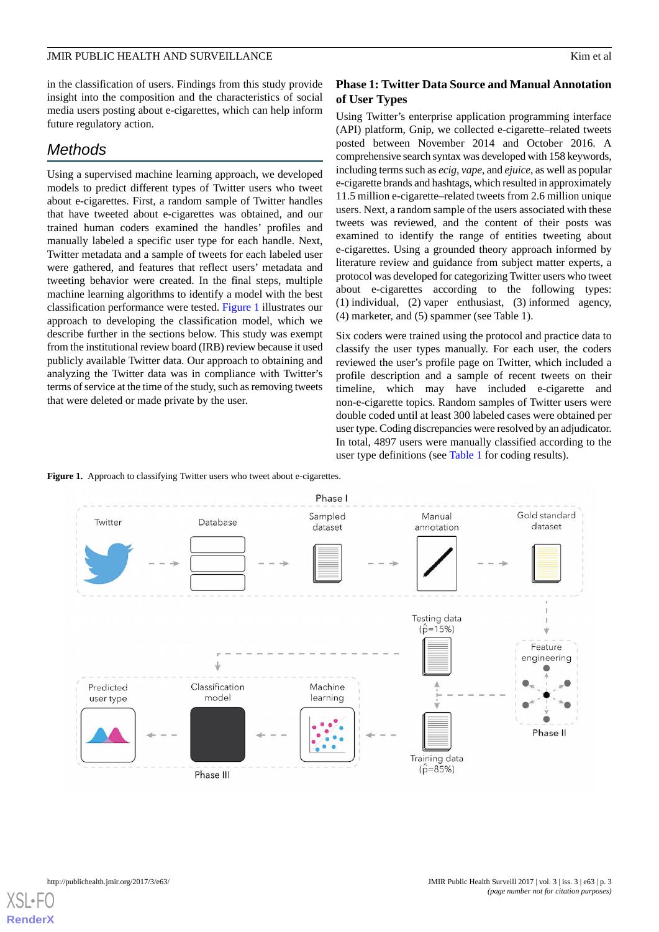in the classification of users. Findings from this study provide insight into the composition and the characteristics of social media users posting about e-cigarettes, which can help inform future regulatory action.

# *Methods*

Using a supervised machine learning approach, we developed models to predict different types of Twitter users who tweet about e-cigarettes. First, a random sample of Twitter handles that have tweeted about e-cigarettes was obtained, and our trained human coders examined the handles' profiles and manually labeled a specific user type for each handle. Next, Twitter metadata and a sample of tweets for each labeled user were gathered, and features that reflect users' metadata and tweeting behavior were created. In the final steps, multiple machine learning algorithms to identify a model with the best classification performance were tested. [Figure 1](#page-2-0) illustrates our approach to developing the classification model, which we describe further in the sections below. This study was exempt from the institutional review board (IRB) review because it used publicly available Twitter data. Our approach to obtaining and analyzing the Twitter data was in compliance with Twitter's terms of service at the time of the study, such as removing tweets that were deleted or made private by the user.

### **Phase 1: Twitter Data Source and Manual Annotation of User Types**

Using Twitter's enterprise application programming interface (API) platform, Gnip, we collected e-cigarette–related tweets posted between November 2014 and October 2016. A comprehensive search syntax was developed with 158 keywords, including terms such as *ecig*, *vape*, and *ejuice*, as well as popular e-cigarette brands and hashtags, which resulted in approximately 11.5 million e-cigarette–related tweets from 2.6 million unique users. Next, a random sample of the users associated with these tweets was reviewed, and the content of their posts was examined to identify the range of entities tweeting about e-cigarettes. Using a grounded theory approach informed by literature review and guidance from subject matter experts, a protocol was developed for categorizing Twitter users who tweet about e-cigarettes according to the following types: (1) individual, (2) vaper enthusiast, (3) informed agency, (4) marketer, and (5) spammer (see Table 1).

Six coders were trained using the protocol and practice data to classify the user types manually. For each user, the coders reviewed the user's profile page on Twitter, which included a profile description and a sample of recent tweets on their timeline, which may have included e-cigarette and non-e-cigarette topics. Random samples of Twitter users were double coded until at least 300 labeled cases were obtained per user type. Coding discrepancies were resolved by an adjudicator. In total, 4897 users were manually classified according to the user type definitions (see [Table 1](#page-3-0) for coding results).

<span id="page-2-0"></span>



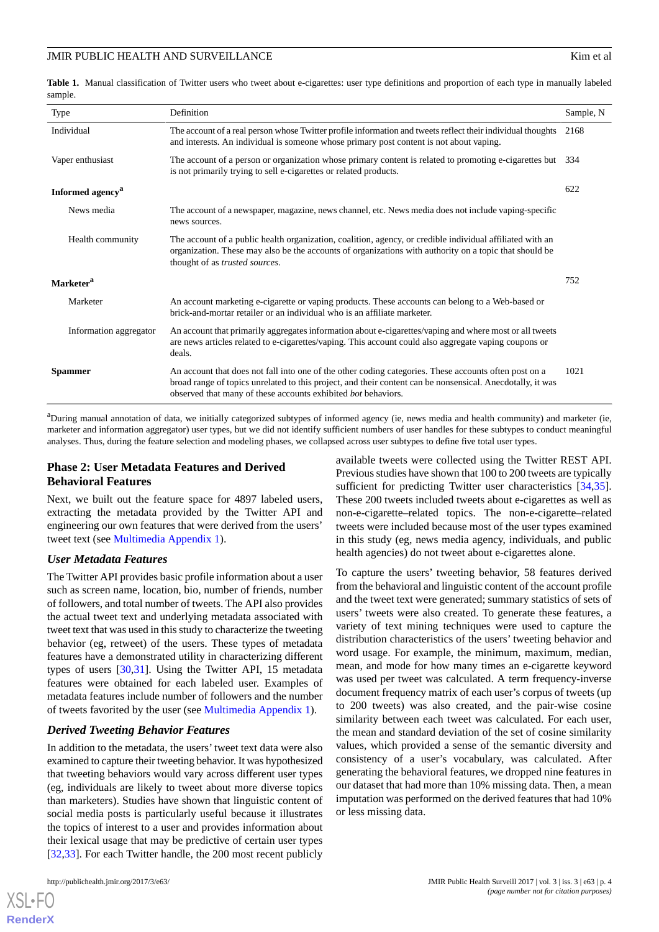<span id="page-3-0"></span>Table 1. Manual classification of Twitter users who tweet about e-cigarettes: user type definitions and proportion of each type in manually labeled sample.

| Type                         | Definition                                                                                                                                                                                                                                                                           | Sample, N |
|------------------------------|--------------------------------------------------------------------------------------------------------------------------------------------------------------------------------------------------------------------------------------------------------------------------------------|-----------|
| Individual                   | The account of a real person whose Twitter profile information and tweets reflect their individual thoughts<br>and interests. An individual is someone whose primary post content is not about vaping.                                                                               | 2168      |
| Vaper enthusiast             | The account of a person or organization whose primary content is related to promoting e-cigarettes but<br>is not primarily trying to sell e-cigarettes or related products.                                                                                                          | 334       |
| Informed agency <sup>a</sup> |                                                                                                                                                                                                                                                                                      | 622       |
| News media                   | The account of a newspaper, magazine, news channel, etc. News media does not include vaping-specific<br>news sources.                                                                                                                                                                |           |
| Health community             | The account of a public health organization, coalition, agency, or credible individual affiliated with an<br>organization. These may also be the accounts of organizations with authority on a topic that should be<br>thought of as trusted sources.                                |           |
| Marketer <sup>a</sup>        |                                                                                                                                                                                                                                                                                      | 752       |
| Marketer                     | An account marketing e-cigarette or vaping products. These accounts can belong to a Web-based or<br>brick-and-mortar retailer or an individual who is an affiliate marketer.                                                                                                         |           |
| Information aggregator       | An account that primarily aggregates information about e-cigarettes/vaping and where most or all tweets<br>are news articles related to e-cigarettes/vaping. This account could also aggregate vaping coupons or<br>deals.                                                           |           |
| <b>Spammer</b>               | An account that does not fall into one of the other coding categories. These accounts often post on a<br>broad range of topics unrelated to this project, and their content can be nonsensical. Anecdotally, it was<br>observed that many of these accounts exhibited bot behaviors. | 1021      |
|                              |                                                                                                                                                                                                                                                                                      |           |

<sup>a</sup>During manual annotation of data, we initially categorized subtypes of informed agency (ie, news media and health community) and marketer (ie, marketer and information aggregator) user types, but we did not identify sufficient numbers of user handles for these subtypes to conduct meaningful analyses. Thus, during the feature selection and modeling phases, we collapsed across user subtypes to define five total user types.

### **Phase 2: User Metadata Features and Derived Behavioral Features**

Next, we built out the feature space for 4897 labeled users, extracting the metadata provided by the Twitter API and engineering our own features that were derived from the users' tweet text (see [Multimedia Appendix 1\)](#page-9-9).

### *User Metadata Features*

The Twitter API provides basic profile information about a user such as screen name, location, bio, number of friends, number of followers, and total number of tweets. The API also provides the actual tweet text and underlying metadata associated with tweet text that was used in this study to characterize the tweeting behavior (eg, retweet) of the users. These types of metadata features have a demonstrated utility in characterizing different types of users [\[30](#page-10-14)[,31](#page-10-15)]. Using the Twitter API, 15 metadata features were obtained for each labeled user. Examples of metadata features include number of followers and the number of tweets favorited by the user (see [Multimedia Appendix 1\)](#page-9-9).

### *Derived Tweeting Behavior Features*

In addition to the metadata, the users'tweet text data were also examined to capture their tweeting behavior. It was hypothesized that tweeting behaviors would vary across different user types (eg, individuals are likely to tweet about more diverse topics than marketers). Studies have shown that linguistic content of social media posts is particularly useful because it illustrates the topics of interest to a user and provides information about their lexical usage that may be predictive of certain user types [[32](#page-10-16)[,33](#page-10-17)]. For each Twitter handle, the 200 most recent publicly

[XSL](http://www.w3.org/Style/XSL)•FO **[RenderX](http://www.renderx.com/)**

available tweets were collected using the Twitter REST API. Previous studies have shown that 100 to 200 tweets are typically sufficient for predicting Twitter user characteristics [\[34](#page-10-18),[35\]](#page-10-19). These 200 tweets included tweets about e-cigarettes as well as non-e-cigarette–related topics. The non-e-cigarette–related tweets were included because most of the user types examined in this study (eg, news media agency, individuals, and public health agencies) do not tweet about e-cigarettes alone.

To capture the users' tweeting behavior, 58 features derived from the behavioral and linguistic content of the account profile and the tweet text were generated; summary statistics of sets of users' tweets were also created. To generate these features, a variety of text mining techniques were used to capture the distribution characteristics of the users' tweeting behavior and word usage. For example, the minimum, maximum, median, mean, and mode for how many times an e-cigarette keyword was used per tweet was calculated. A term frequency-inverse document frequency matrix of each user's corpus of tweets (up to 200 tweets) was also created, and the pair-wise cosine similarity between each tweet was calculated. For each user, the mean and standard deviation of the set of cosine similarity values, which provided a sense of the semantic diversity and consistency of a user's vocabulary, was calculated. After generating the behavioral features, we dropped nine features in our dataset that had more than 10% missing data. Then, a mean imputation was performed on the derived features that had 10% or less missing data.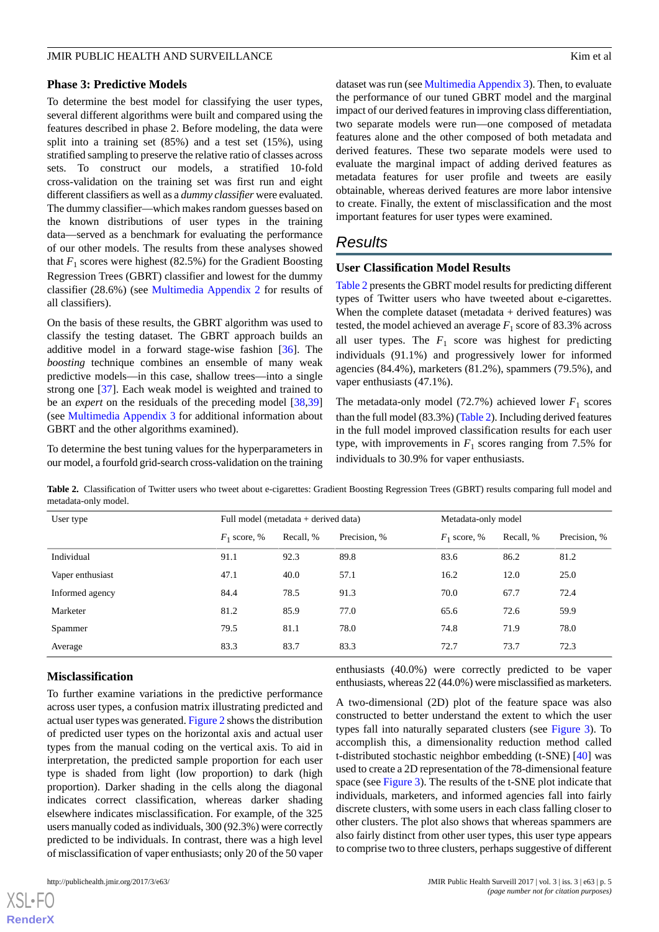### **Phase 3: Predictive Models**

To determine the best model for classifying the user types, several different algorithms were built and compared using the features described in phase 2. Before modeling, the data were split into a training set (85%) and a test set (15%), using stratified sampling to preserve the relative ratio of classes across sets. To construct our models, a stratified 10-fold cross-validation on the training set was first run and eight different classifiers as well as a *dummy classifier* were evaluated. The dummy classifier—which makes random guesses based on the known distributions of user types in the training data—served as a benchmark for evaluating the performance of our other models. The results from these analyses showed that  $F_1$  scores were highest (82.5%) for the Gradient Boosting Regression Trees (GBRT) classifier and lowest for the dummy classifier (28.6%) (see [Multimedia Appendix 2](#page-9-10) for results of all classifiers).

On the basis of these results, the GBRT algorithm was used to classify the testing dataset. The GBRT approach builds an additive model in a forward stage-wise fashion [[36\]](#page-10-20). The *boosting* technique combines an ensemble of many weak predictive models—in this case, shallow trees—into a single strong one [[37\]](#page-10-21). Each weak model is weighted and trained to be an *expert* on the residuals of the preceding model [[38](#page-11-0)[,39](#page-11-1)] (see [Multimedia Appendix 3](#page-9-11) for additional information about GBRT and the other algorithms examined).

<span id="page-4-0"></span>To determine the best tuning values for the hyperparameters in our model, a fourfold grid-search cross-validation on the training dataset was run (see [Multimedia Appendix 3\)](#page-9-11). Then, to evaluate the performance of our tuned GBRT model and the marginal impact of our derived features in improving class differentiation, two separate models were run—one composed of metadata features alone and the other composed of both metadata and derived features. These two separate models were used to evaluate the marginal impact of adding derived features as metadata features for user profile and tweets are easily obtainable, whereas derived features are more labor intensive to create. Finally, the extent of misclassification and the most important features for user types were examined.

# *Results*

### **User Classification Model Results**

[Table 2](#page-4-0) presents the GBRT model results for predicting different types of Twitter users who have tweeted about e-cigarettes. When the complete dataset (metadata + derived features) was tested, the model achieved an average  $F_1$  score of 83.3% across all user types. The  $F_1$  score was highest for predicting individuals (91.1%) and progressively lower for informed agencies (84.4%), marketers (81.2%), spammers (79.5%), and vaper enthusiasts (47.1%).

The metadata-only model  $(72.7%)$  achieved lower  $F_1$  scores than the full model (83.3%) [\(Table 2\)](#page-4-0). Including derived features in the full model improved classification results for each user type, with improvements in  $F_1$  scores ranging from 7.5% for individuals to 30.9% for vaper enthusiasts.

**Table 2.** Classification of Twitter users who tweet about e-cigarettes: Gradient Boosting Regression Trees (GBRT) results comparing full model and metadata-only model.

| User type        | Full model (metadata $+$ derived data) |           |              | Metadata-only model |           |              |
|------------------|----------------------------------------|-----------|--------------|---------------------|-----------|--------------|
|                  | $F_1$ score, %                         | Recall, % | Precision, % | $F_1$ score, %      | Recall, % | Precision, % |
| Individual       | 91.1                                   | 92.3      | 89.8         | 83.6                | 86.2      | 81.2         |
| Vaper enthusiast | 47.1                                   | 40.0      | 57.1         | 16.2                | 12.0      | 25.0         |
| Informed agency  | 84.4                                   | 78.5      | 91.3         | 70.0                | 67.7      | 72.4         |
| Marketer         | 81.2                                   | 85.9      | 77.0         | 65.6                | 72.6      | 59.9         |
| Spammer          | 79.5                                   | 81.1      | 78.0         | 74.8                | 71.9      | 78.0         |
| Average          | 83.3                                   | 83.7      | 83.3         | 72.7                | 73.7      | 72.3         |

### **Misclassification**

To further examine variations in the predictive performance across user types, a confusion matrix illustrating predicted and actual user types was generated. [Figure 2](#page-5-0) shows the distribution of predicted user types on the horizontal axis and actual user types from the manual coding on the vertical axis. To aid in interpretation, the predicted sample proportion for each user type is shaded from light (low proportion) to dark (high proportion). Darker shading in the cells along the diagonal indicates correct classification, whereas darker shading elsewhere indicates misclassification. For example, of the 325 users manually coded as individuals, 300 (92.3%) were correctly predicted to be individuals. In contrast, there was a high level of misclassification of vaper enthusiasts; only 20 of the 50 vaper

 $X$ SL•F $C$ **[RenderX](http://www.renderx.com/)** enthusiasts (40.0%) were correctly predicted to be vaper enthusiasts, whereas 22 (44.0%) were misclassified as marketers.

A two-dimensional (2D) plot of the feature space was also constructed to better understand the extent to which the user types fall into naturally separated clusters (see [Figure 3](#page-5-1)). To accomplish this, a dimensionality reduction method called t-distributed stochastic neighbor embedding (t-SNE) [\[40](#page-11-2)] was used to create a 2D representation of the 78-dimensional feature space (see [Figure 3\)](#page-5-1). The results of the t-SNE plot indicate that individuals, marketers, and informed agencies fall into fairly discrete clusters, with some users in each class falling closer to other clusters. The plot also shows that whereas spammers are also fairly distinct from other user types, this user type appears to comprise two to three clusters, perhaps suggestive of different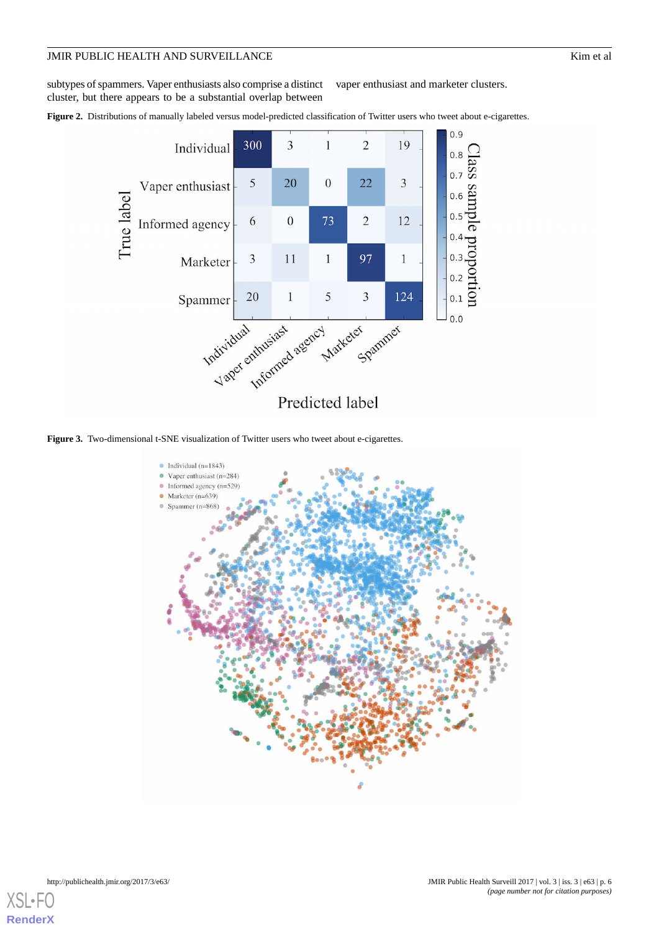subtypes of spammers. Vaper enthusiasts also comprise a distinct cluster, but there appears to be a substantial overlap between vaper enthusiast and marketer clusters.

<span id="page-5-0"></span>Figure 2. Distributions of manually labeled versus model-predicted classification of Twitter users who tweet about e-cigarettes.



<span id="page-5-1"></span>**Figure 3.** Two-dimensional t-SNE visualization of Twitter users who tweet about e-cigarettes.

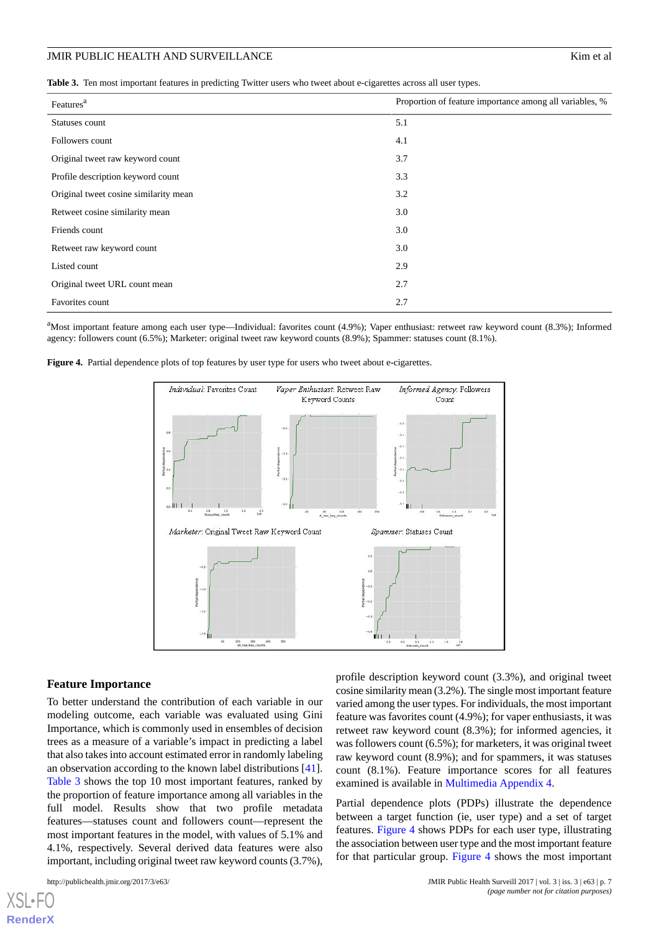<span id="page-6-0"></span>

|  |  |  |  | Table 3. Ten most important features in predicting Twitter users who tweet about e-cigarettes across all user types. |  |
|--|--|--|--|----------------------------------------------------------------------------------------------------------------------|--|
|--|--|--|--|----------------------------------------------------------------------------------------------------------------------|--|

| Features <sup>a</sup>                 | Proportion of feature importance among all variables, % |  |  |
|---------------------------------------|---------------------------------------------------------|--|--|
| Statuses count                        | 5.1                                                     |  |  |
| Followers count                       | 4.1                                                     |  |  |
| Original tweet raw keyword count      | 3.7                                                     |  |  |
| Profile description keyword count     | 3.3                                                     |  |  |
| Original tweet cosine similarity mean | 3.2                                                     |  |  |
| Retweet cosine similarity mean        | 3.0                                                     |  |  |
| Friends count                         | 3.0                                                     |  |  |
| Retweet raw keyword count             | 3.0                                                     |  |  |
| Listed count                          | 2.9                                                     |  |  |
| Original tweet URL count mean         | 2.7                                                     |  |  |
| Favorites count                       | 2.7                                                     |  |  |

<span id="page-6-1"></span><sup>a</sup>Most important feature among each user type—Individual: favorites count (4.9%); Vaper enthusiast: retweet raw keyword count (8.3%); Informed agency: followers count (6.5%); Marketer: original tweet raw keyword counts (8.9%); Spammer: statuses count (8.1%).

Figure 4. Partial dependence plots of top features by user type for users who tweet about e-cigarettes.



#### **Feature Importance**

To better understand the contribution of each variable in our modeling outcome, each variable was evaluated using Gini Importance, which is commonly used in ensembles of decision trees as a measure of a variable's impact in predicting a label that also takes into account estimated error in randomly labeling an observation according to the known label distributions [[41\]](#page-11-3). [Table 3](#page-6-0) shows the top 10 most important features, ranked by the proportion of feature importance among all variables in the full model. Results show that two profile metadata features—statuses count and followers count—represent the most important features in the model, with values of 5.1% and 4.1%, respectively. Several derived data features were also important, including original tweet raw keyword counts (3.7%),

[XSL](http://www.w3.org/Style/XSL)•FO **[RenderX](http://www.renderx.com/)**

profile description keyword count (3.3%), and original tweet cosine similarity mean (3.2%). The single most important feature varied among the user types. For individuals, the most important feature was favorites count (4.9%); for vaper enthusiasts, it was retweet raw keyword count (8.3%); for informed agencies, it was followers count (6.5%); for marketers, it was original tweet raw keyword count (8.9%); and for spammers, it was statuses count (8.1%). Feature importance scores for all features examined is available in [Multimedia Appendix 4.](#page-9-12)

Partial dependence plots (PDPs) illustrate the dependence between a target function (ie, user type) and a set of target features. [Figure 4](#page-6-1) shows PDPs for each user type, illustrating the association between user type and the most important feature for that particular group. [Figure 4](#page-6-1) shows the most important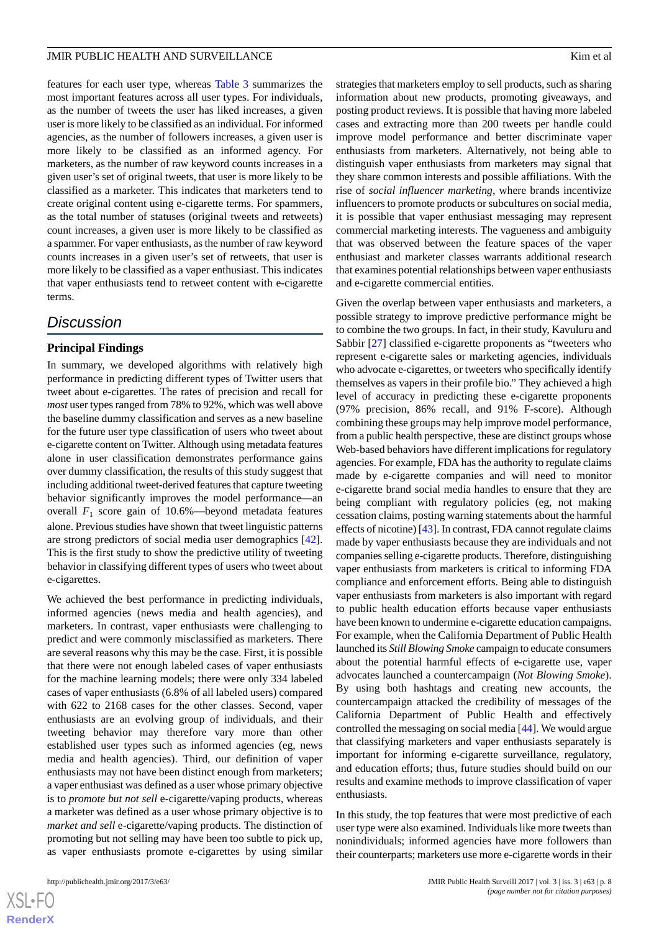features for each user type, whereas [Table 3](#page-6-0) summarizes the most important features across all user types. For individuals, as the number of tweets the user has liked increases, a given user is more likely to be classified as an individual. For informed agencies, as the number of followers increases, a given user is more likely to be classified as an informed agency. For marketers, as the number of raw keyword counts increases in a given user's set of original tweets, that user is more likely to be classified as a marketer. This indicates that marketers tend to create original content using e-cigarette terms. For spammers, as the total number of statuses (original tweets and retweets) count increases, a given user is more likely to be classified as a spammer. For vaper enthusiasts, as the number of raw keyword counts increases in a given user's set of retweets, that user is more likely to be classified as a vaper enthusiast. This indicates that vaper enthusiasts tend to retweet content with e-cigarette terms.

### *Discussion*

### **Principal Findings**

In summary, we developed algorithms with relatively high performance in predicting different types of Twitter users that tweet about e-cigarettes. The rates of precision and recall for *most* user types ranged from 78% to 92%, which was well above the baseline dummy classification and serves as a new baseline for the future user type classification of users who tweet about e-cigarette content on Twitter. Although using metadata features alone in user classification demonstrates performance gains over dummy classification, the results of this study suggest that including additional tweet-derived features that capture tweeting behavior significantly improves the model performance—an overall *F*<sup>1</sup> score gain of 10.6%—beyond metadata features alone. Previous studies have shown that tweet linguistic patterns are strong predictors of social media user demographics [[42\]](#page-11-4). This is the first study to show the predictive utility of tweeting behavior in classifying different types of users who tweet about e-cigarettes.

We achieved the best performance in predicting individuals, informed agencies (news media and health agencies), and marketers. In contrast, vaper enthusiasts were challenging to predict and were commonly misclassified as marketers. There are several reasons why this may be the case. First, it is possible that there were not enough labeled cases of vaper enthusiasts for the machine learning models; there were only 334 labeled cases of vaper enthusiasts (6.8% of all labeled users) compared with 622 to 2168 cases for the other classes. Second, vaper enthusiasts are an evolving group of individuals, and their tweeting behavior may therefore vary more than other established user types such as informed agencies (eg, news media and health agencies). Third, our definition of vaper enthusiasts may not have been distinct enough from marketers; a vaper enthusiast was defined as a user whose primary objective is to *promote but not sell* e-cigarette/vaping products, whereas a marketer was defined as a user whose primary objective is to *market and sell* e-cigarette/vaping products. The distinction of promoting but not selling may have been too subtle to pick up, as vaper enthusiasts promote e-cigarettes by using similar

strategies that marketers employ to sell products, such as sharing information about new products, promoting giveaways, and posting product reviews. It is possible that having more labeled cases and extracting more than 200 tweets per handle could improve model performance and better discriminate vaper enthusiasts from marketers. Alternatively, not being able to distinguish vaper enthusiasts from marketers may signal that they share common interests and possible affiliations. With the rise of *social influencer marketing*, where brands incentivize influencers to promote products or subcultures on social media, it is possible that vaper enthusiast messaging may represent commercial marketing interests. The vagueness and ambiguity that was observed between the feature spaces of the vaper enthusiast and marketer classes warrants additional research that examines potential relationships between vaper enthusiasts and e-cigarette commercial entities.

Given the overlap between vaper enthusiasts and marketers, a possible strategy to improve predictive performance might be to combine the two groups. In fact, in their study, Kavuluru and Sabbir [[27\]](#page-10-11) classified e-cigarette proponents as "tweeters who represent e-cigarette sales or marketing agencies, individuals who advocate e-cigarettes, or tweeters who specifically identify themselves as vapers in their profile bio." They achieved a high level of accuracy in predicting these e-cigarette proponents (97% precision, 86% recall, and 91% F-score). Although combining these groups may help improve model performance, from a public health perspective, these are distinct groups whose Web-based behaviors have different implications for regulatory agencies. For example, FDA has the authority to regulate claims made by e-cigarette companies and will need to monitor e-cigarette brand social media handles to ensure that they are being compliant with regulatory policies (eg, not making cessation claims, posting warning statements about the harmful effects of nicotine) [[43](#page-11-5)]. In contrast, FDA cannot regulate claims made by vaper enthusiasts because they are individuals and not companies selling e-cigarette products. Therefore, distinguishing vaper enthusiasts from marketers is critical to informing FDA compliance and enforcement efforts. Being able to distinguish vaper enthusiasts from marketers is also important with regard to public health education efforts because vaper enthusiasts have been known to undermine e-cigarette education campaigns. For example, when the California Department of Public Health launched its *Still Blowing Smoke* campaign to educate consumers about the potential harmful effects of e-cigarette use, vaper advocates launched a countercampaign (*Not Blowing Smoke*). By using both hashtags and creating new accounts, the countercampaign attacked the credibility of messages of the California Department of Public Health and effectively controlled the messaging on social media [\[44](#page-11-6)]. We would argue that classifying marketers and vaper enthusiasts separately is important for informing e-cigarette surveillance, regulatory, and education efforts; thus, future studies should build on our results and examine methods to improve classification of vaper enthusiasts.

In this study, the top features that were most predictive of each user type were also examined. Individuals like more tweets than nonindividuals; informed agencies have more followers than their counterparts; marketers use more e-cigarette words in their

 $XS$  $\cdot$ FC **[RenderX](http://www.renderx.com/)**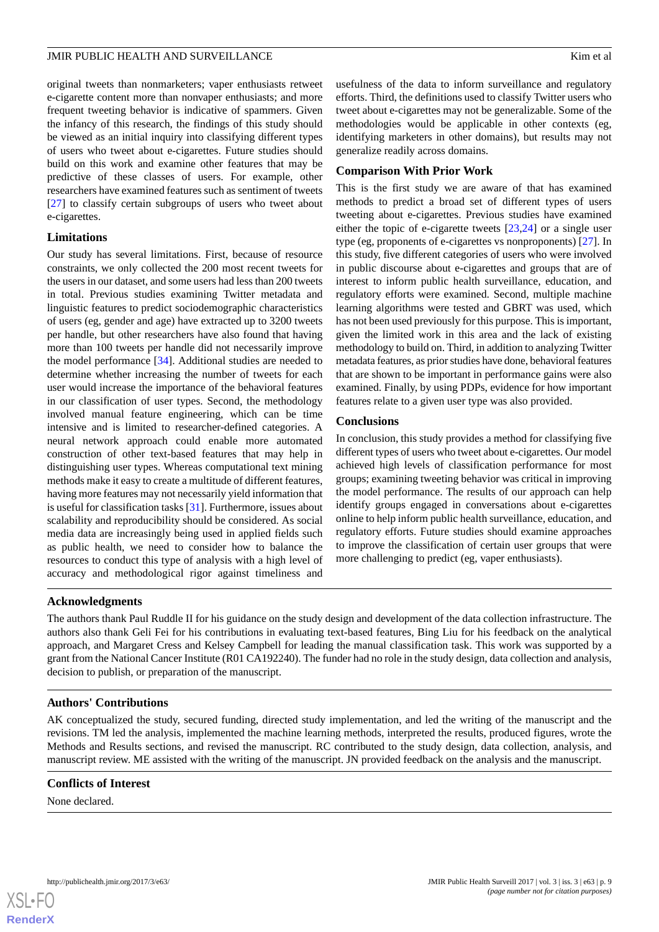original tweets than nonmarketers; vaper enthusiasts retweet e-cigarette content more than nonvaper enthusiasts; and more frequent tweeting behavior is indicative of spammers. Given the infancy of this research, the findings of this study should be viewed as an initial inquiry into classifying different types of users who tweet about e-cigarettes. Future studies should build on this work and examine other features that may be predictive of these classes of users. For example, other researchers have examined features such as sentiment of tweets [[27\]](#page-10-11) to classify certain subgroups of users who tweet about e-cigarettes.

### **Limitations**

Our study has several limitations. First, because of resource constraints, we only collected the 200 most recent tweets for the users in our dataset, and some users had less than 200 tweets in total. Previous studies examining Twitter metadata and linguistic features to predict sociodemographic characteristics of users (eg, gender and age) have extracted up to 3200 tweets per handle, but other researchers have also found that having more than 100 tweets per handle did not necessarily improve the model performance [\[34](#page-10-18)]. Additional studies are needed to determine whether increasing the number of tweets for each user would increase the importance of the behavioral features in our classification of user types. Second, the methodology involved manual feature engineering, which can be time intensive and is limited to researcher-defined categories. A neural network approach could enable more automated construction of other text-based features that may help in distinguishing user types. Whereas computational text mining methods make it easy to create a multitude of different features, having more features may not necessarily yield information that is useful for classification tasks [\[31](#page-10-15)]. Furthermore, issues about scalability and reproducibility should be considered. As social media data are increasingly being used in applied fields such as public health, we need to consider how to balance the resources to conduct this type of analysis with a high level of accuracy and methodological rigor against timeliness and

usefulness of the data to inform surveillance and regulatory efforts. Third, the definitions used to classify Twitter users who tweet about e-cigarettes may not be generalizable. Some of the methodologies would be applicable in other contexts (eg, identifying marketers in other domains), but results may not generalize readily across domains.

### **Comparison With Prior Work**

This is the first study we are aware of that has examined methods to predict a broad set of different types of users tweeting about e-cigarettes. Previous studies have examined either the topic of e-cigarette tweets [\[23](#page-10-7),[24\]](#page-10-9) or a single user type (eg, proponents of e-cigarettes vs nonproponents) [\[27](#page-10-11)]. In this study, five different categories of users who were involved in public discourse about e-cigarettes and groups that are of interest to inform public health surveillance, education, and regulatory efforts were examined. Second, multiple machine learning algorithms were tested and GBRT was used, which has not been used previously for this purpose. This is important, given the limited work in this area and the lack of existing methodology to build on. Third, in addition to analyzing Twitter metadata features, as prior studies have done, behavioral features that are shown to be important in performance gains were also examined. Finally, by using PDPs, evidence for how important features relate to a given user type was also provided.

### **Conclusions**

In conclusion, this study provides a method for classifying five different types of users who tweet about e-cigarettes. Our model achieved high levels of classification performance for most groups; examining tweeting behavior was critical in improving the model performance. The results of our approach can help identify groups engaged in conversations about e-cigarettes online to help inform public health surveillance, education, and regulatory efforts. Future studies should examine approaches to improve the classification of certain user groups that were more challenging to predict (eg, vaper enthusiasts).

### **Acknowledgments**

The authors thank Paul Ruddle II for his guidance on the study design and development of the data collection infrastructure. The authors also thank Geli Fei for his contributions in evaluating text-based features, Bing Liu for his feedback on the analytical approach, and Margaret Cress and Kelsey Campbell for leading the manual classification task. This work was supported by a grant from the National Cancer Institute (R01 CA192240). The funder had no role in the study design, data collection and analysis, decision to publish, or preparation of the manuscript.

### **Authors' Contributions**

AK conceptualized the study, secured funding, directed study implementation, and led the writing of the manuscript and the revisions. TM led the analysis, implemented the machine learning methods, interpreted the results, produced figures, wrote the Methods and Results sections, and revised the manuscript. RC contributed to the study design, data collection, analysis, and manuscript review. ME assisted with the writing of the manuscript. JN provided feedback on the analysis and the manuscript.

### **Conflicts of Interest**

None declared.

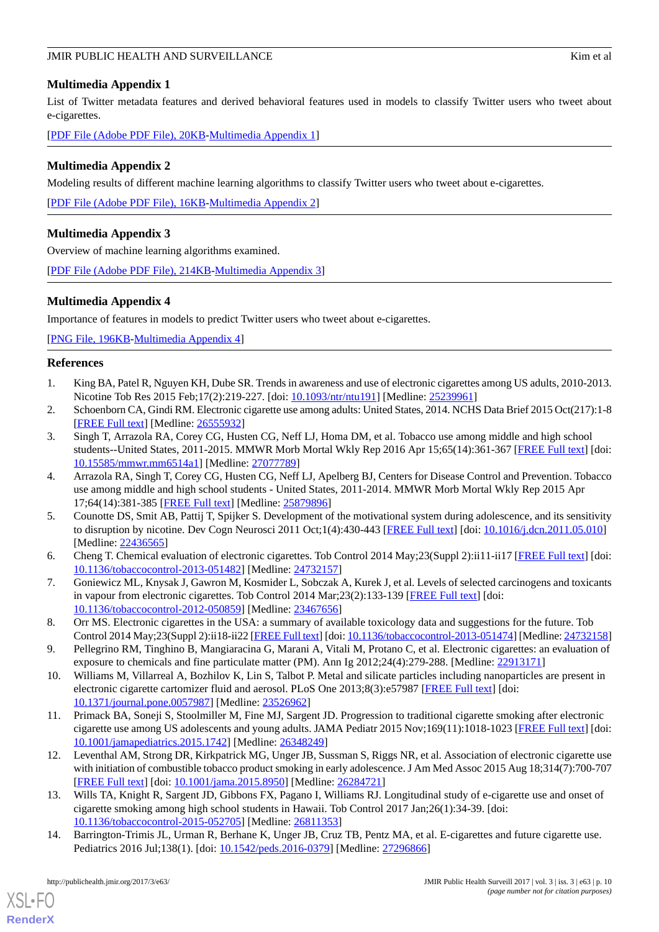### <span id="page-9-9"></span>**Multimedia Appendix 1**

List of Twitter metadata features and derived behavioral features used in models to classify Twitter users who tweet about e-cigarettes.

<span id="page-9-10"></span>[[PDF File \(Adobe PDF File\), 20KB-Multimedia Appendix 1](https://jmir.org/api/download?alt_name=publichealth_v3i3e63_app1.pdf&filename=19eac5c596fedc4cc379c796c1dbda10.pdf)]

### **Multimedia Appendix 2**

Modeling results of different machine learning algorithms to classify Twitter users who tweet about e-cigarettes.

<span id="page-9-11"></span>[[PDF File \(Adobe PDF File\), 16KB-Multimedia Appendix 2](https://jmir.org/api/download?alt_name=publichealth_v3i3e63_app2.pdf&filename=6c980c5593b8d16bbeb8039855c74117.pdf)]

### **Multimedia Appendix 3**

Overview of machine learning algorithms examined.

<span id="page-9-12"></span>[[PDF File \(Adobe PDF File\), 214KB-Multimedia Appendix 3](https://jmir.org/api/download?alt_name=publichealth_v3i3e63_app3.pdf&filename=ea6abc080bb60371a8bd23026806e1eb.pdf)]

### **Multimedia Appendix 4**

Importance of features in models to predict Twitter users who tweet about e-cigarettes.

<span id="page-9-0"></span>[[PNG File, 196KB-Multimedia Appendix 4](https://jmir.org/api/download?alt_name=publichealth_v3i3e63_app4.png&filename=0218ac6580bceceaab4052642a1e4b3f.png)]

### <span id="page-9-1"></span>**References**

- <span id="page-9-2"></span>1. King BA, Patel R, Nguyen KH, Dube SR. Trends in awareness and use of electronic cigarettes among US adults, 2010-2013. Nicotine Tob Res 2015 Feb;17(2):219-227. [doi: [10.1093/ntr/ntu191](http://dx.doi.org/10.1093/ntr/ntu191)] [Medline: [25239961\]](http://www.ncbi.nlm.nih.gov/entrez/query.fcgi?cmd=Retrieve&db=PubMed&list_uids=25239961&dopt=Abstract)
- 2. Schoenborn CA, Gindi RM. Electronic cigarette use among adults: United States, 2014. NCHS Data Brief 2015 Oct(217):1-8 [[FREE Full text](https://www.cdc.gov/nchs/data/databriefs/db217.pdf)] [Medline: [26555932](http://www.ncbi.nlm.nih.gov/entrez/query.fcgi?cmd=Retrieve&db=PubMed&list_uids=26555932&dopt=Abstract)]
- <span id="page-9-3"></span>3. Singh T, Arrazola RA, Corey CG, Husten CG, Neff LJ, Homa DM, et al. Tobacco use among middle and high school students--United States, 2011-2015. MMWR Morb Mortal Wkly Rep 2016 Apr 15;65(14):361-367 [[FREE Full text](https://dx.doi.org/10.15585/mmwr.mm6514a1)] [doi: [10.15585/mmwr.mm6514a1\]](http://dx.doi.org/10.15585/mmwr.mm6514a1) [Medline: [27077789\]](http://www.ncbi.nlm.nih.gov/entrez/query.fcgi?cmd=Retrieve&db=PubMed&list_uids=27077789&dopt=Abstract)
- <span id="page-9-4"></span>4. Arrazola RA, Singh T, Corey CG, Husten CG, Neff LJ, Apelberg BJ, Centers for Disease Control and Prevention. Tobacco use among middle and high school students - United States, 2011-2014. MMWR Morb Mortal Wkly Rep 2015 Apr 17;64(14):381-385 [[FREE Full text](http://www.statisticbrain.com/electronic-cigarette-statistics/)] [Medline: [25879896](http://www.ncbi.nlm.nih.gov/entrez/query.fcgi?cmd=Retrieve&db=PubMed&list_uids=25879896&dopt=Abstract)]
- <span id="page-9-5"></span>5. Counotte DS, Smit AB, Pattij T, Spijker S. Development of the motivational system during adolescence, and its sensitivity to disruption by nicotine. Dev Cogn Neurosci 2011 Oct;1(4):430-443 [[FREE Full text](https://linkinghub.elsevier.com/retrieve/pii/S1878-9293(11)00057-0)] [doi: [10.1016/j.dcn.2011.05.010\]](http://dx.doi.org/10.1016/j.dcn.2011.05.010) [Medline: [22436565](http://www.ncbi.nlm.nih.gov/entrez/query.fcgi?cmd=Retrieve&db=PubMed&list_uids=22436565&dopt=Abstract)]
- 6. Cheng T. Chemical evaluation of electronic cigarettes. Tob Control 2014 May;23(Suppl 2):ii11-ii17 [\[FREE Full text](http://tobaccocontrol.bmj.com/cgi/pmidlookup?view=long&pmid=24732157)] [doi: [10.1136/tobaccocontrol-2013-051482\]](http://dx.doi.org/10.1136/tobaccocontrol-2013-051482) [Medline: [24732157\]](http://www.ncbi.nlm.nih.gov/entrez/query.fcgi?cmd=Retrieve&db=PubMed&list_uids=24732157&dopt=Abstract)
- 7. Goniewicz ML, Knysak J, Gawron M, Kosmider L, Sobczak A, Kurek J, et al. Levels of selected carcinogens and toxicants in vapour from electronic cigarettes. Tob Control 2014 Mar; 23(2): 133-139 [\[FREE Full text\]](http://europepmc.org/abstract/MED/23467656) [doi: [10.1136/tobaccocontrol-2012-050859\]](http://dx.doi.org/10.1136/tobaccocontrol-2012-050859) [Medline: [23467656\]](http://www.ncbi.nlm.nih.gov/entrez/query.fcgi?cmd=Retrieve&db=PubMed&list_uids=23467656&dopt=Abstract)
- <span id="page-9-6"></span>8. Orr MS. Electronic cigarettes in the USA: a summary of available toxicology data and suggestions for the future. Tob Control 2014 May;23(Suppl 2):ii18-ii22 [[FREE Full text](http://tobaccocontrol.bmj.com/cgi/pmidlookup?view=long&pmid=24732158)] [doi: [10.1136/tobaccocontrol-2013-051474\]](http://dx.doi.org/10.1136/tobaccocontrol-2013-051474) [Medline: [24732158\]](http://www.ncbi.nlm.nih.gov/entrez/query.fcgi?cmd=Retrieve&db=PubMed&list_uids=24732158&dopt=Abstract)
- <span id="page-9-7"></span>9. Pellegrino RM, Tinghino B, Mangiaracina G, Marani A, Vitali M, Protano C, et al. Electronic cigarettes: an evaluation of exposure to chemicals and fine particulate matter (PM). Ann Ig 2012;24(4):279-288. [Medline: [22913171](http://www.ncbi.nlm.nih.gov/entrez/query.fcgi?cmd=Retrieve&db=PubMed&list_uids=22913171&dopt=Abstract)]
- 10. Williams M, Villarreal A, Bozhilov K, Lin S, Talbot P. Metal and silicate particles including nanoparticles are present in electronic cigarette cartomizer fluid and aerosol. PLoS One 2013;8(3):e57987 [\[FREE Full text\]](http://dx.plos.org/10.1371/journal.pone.0057987) [doi: [10.1371/journal.pone.0057987\]](http://dx.doi.org/10.1371/journal.pone.0057987) [Medline: [23526962](http://www.ncbi.nlm.nih.gov/entrez/query.fcgi?cmd=Retrieve&db=PubMed&list_uids=23526962&dopt=Abstract)]
- 11. Primack BA, Soneji S, Stoolmiller M, Fine MJ, Sargent JD. Progression to traditional cigarette smoking after electronic cigarette use among US adolescents and young adults. JAMA Pediatr 2015 Nov;169(11):1018-1023 [\[FREE Full text](http://europepmc.org/abstract/MED/26348249)] [doi: [10.1001/jamapediatrics.2015.1742](http://dx.doi.org/10.1001/jamapediatrics.2015.1742)] [Medline: [26348249\]](http://www.ncbi.nlm.nih.gov/entrez/query.fcgi?cmd=Retrieve&db=PubMed&list_uids=26348249&dopt=Abstract)
- <span id="page-9-8"></span>12. Leventhal AM, Strong DR, Kirkpatrick MG, Unger JB, Sussman S, Riggs NR, et al. Association of electronic cigarette use with initiation of combustible tobacco product smoking in early adolescence. J Am Med Assoc 2015 Aug 18;314(7):700-707 [[FREE Full text](http://europepmc.org/abstract/MED/26284721)] [doi: [10.1001/jama.2015.8950](http://dx.doi.org/10.1001/jama.2015.8950)] [Medline: [26284721\]](http://www.ncbi.nlm.nih.gov/entrez/query.fcgi?cmd=Retrieve&db=PubMed&list_uids=26284721&dopt=Abstract)
- 13. Wills TA, Knight R, Sargent JD, Gibbons FX, Pagano I, Williams RJ. Longitudinal study of e-cigarette use and onset of cigarette smoking among high school students in Hawaii. Tob Control 2017 Jan;26(1):34-39. [doi: [10.1136/tobaccocontrol-2015-052705\]](http://dx.doi.org/10.1136/tobaccocontrol-2015-052705) [Medline: [26811353\]](http://www.ncbi.nlm.nih.gov/entrez/query.fcgi?cmd=Retrieve&db=PubMed&list_uids=26811353&dopt=Abstract)
- 14. Barrington-Trimis JL, Urman R, Berhane K, Unger JB, Cruz TB, Pentz MA, et al. E-cigarettes and future cigarette use. Pediatrics 2016 Jul;138(1). [doi: [10.1542/peds.2016-0379\]](http://dx.doi.org/10.1542/peds.2016-0379) [Medline: [27296866\]](http://www.ncbi.nlm.nih.gov/entrez/query.fcgi?cmd=Retrieve&db=PubMed&list_uids=27296866&dopt=Abstract)

[XSL](http://www.w3.org/Style/XSL)•FO **[RenderX](http://www.renderx.com/)**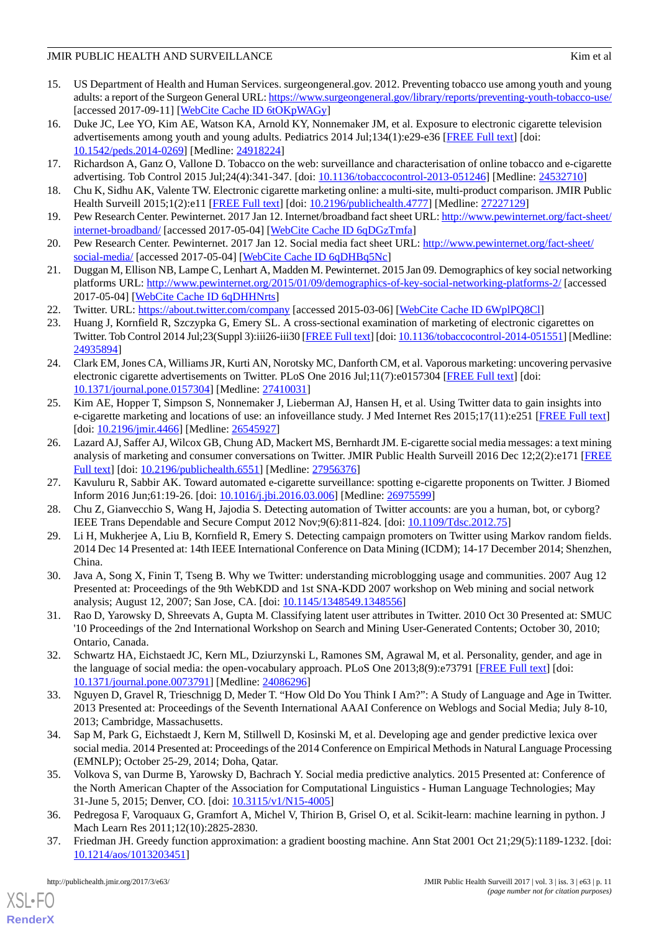- <span id="page-10-0"></span>15. US Department of Health and Human Services. surgeongeneral.gov. 2012. Preventing tobacco use among youth and young adults: a report of the Surgeon General URL:<https://www.surgeongeneral.gov/library/reports/preventing-youth-tobacco-use/> [accessed 2017-09-11] [\[WebCite Cache ID 6tOKpWAGy](http://www.webcitation.org/

                                6tOKpWAGy)]
- <span id="page-10-1"></span>16. Duke JC, Lee YO, Kim AE, Watson KA, Arnold KY, Nonnemaker JM, et al. Exposure to electronic cigarette television advertisements among youth and young adults. Pediatrics 2014 Jul;134(1):e29-e36 [[FREE Full text\]](http://pediatrics.aappublications.org/cgi/pmidlookup?view=long&pmid=24918224) [doi: [10.1542/peds.2014-0269\]](http://dx.doi.org/10.1542/peds.2014-0269) [Medline: [24918224\]](http://www.ncbi.nlm.nih.gov/entrez/query.fcgi?cmd=Retrieve&db=PubMed&list_uids=24918224&dopt=Abstract)
- <span id="page-10-3"></span><span id="page-10-2"></span>17. Richardson A, Ganz O, Vallone D. Tobacco on the web: surveillance and characterisation of online tobacco and e-cigarette advertising. Tob Control 2015 Jul;24(4):341-347. [doi: [10.1136/tobaccocontrol-2013-051246](http://dx.doi.org/10.1136/tobaccocontrol-2013-051246)] [Medline: [24532710\]](http://www.ncbi.nlm.nih.gov/entrez/query.fcgi?cmd=Retrieve&db=PubMed&list_uids=24532710&dopt=Abstract)
- <span id="page-10-4"></span>18. Chu K, Sidhu AK, Valente TW. Electronic cigarette marketing online: a multi-site, multi-product comparison. JMIR Public Health Surveill 2015;1(2):e11 [\[FREE Full text\]](http://publichealth.jmir.org/2015/2/e11/) [doi: [10.2196/publichealth.4777](http://dx.doi.org/10.2196/publichealth.4777)] [Medline: [27227129\]](http://www.ncbi.nlm.nih.gov/entrez/query.fcgi?cmd=Retrieve&db=PubMed&list_uids=27227129&dopt=Abstract)
- 19. Pew Research Center. Pewinternet. 2017 Jan 12. Internet/broadband fact sheet URL: [http://www.pewinternet.org/fact-sheet/](http://www.pewinternet.org/fact-sheet/internet-broadband/) [internet-broadband/](http://www.pewinternet.org/fact-sheet/internet-broadband/) [accessed 2017-05-04] [\[WebCite Cache ID 6qDGzTmfa\]](http://www.webcitation.org/

                                6qDGzTmfa)
- <span id="page-10-5"></span>20. Pew Research Center. Pewinternet. 2017 Jan 12. Social media fact sheet URL: [http://www.pewinternet.org/fact-sheet/](http://www.pewinternet.org/fact-sheet/social-media/) [social-media/](http://www.pewinternet.org/fact-sheet/social-media/) [accessed 2017-05-04] [[WebCite Cache ID 6qDHBq5Nc](http://www.webcitation.org/

                                6qDHBq5Nc)]
- <span id="page-10-6"></span>21. Duggan M, Ellison NB, Lampe C, Lenhart A, Madden M. Pewinternet. 2015 Jan 09. Demographics of key social networking platforms URL: <http://www.pewinternet.org/2015/01/09/demographics-of-key-social-networking-platforms-2/> [accessed 2017-05-04] [\[WebCite Cache ID 6qDHHNrts](http://www.webcitation.org/

                                6qDHHNrts)]
- <span id="page-10-7"></span>22. Twitter. URL: <https://about.twitter.com/company> [accessed 2015-03-06] [\[WebCite Cache ID 6WplPQ8Cl](http://www.webcitation.org/

                                6WplPQ8Cl)]
- <span id="page-10-9"></span>23. Huang J, Kornfield R, Szczypka G, Emery SL. A cross-sectional examination of marketing of electronic cigarettes on Twitter. Tob Control 2014 Jul;23(Suppl 3):iii26-iii30 [\[FREE Full text\]](http://tobaccocontrol.bmj.com/cgi/pmidlookup?view=long&pmid=24935894) [doi: [10.1136/tobaccocontrol-2014-051551\]](http://dx.doi.org/10.1136/tobaccocontrol-2014-051551) [Medline: [24935894](http://www.ncbi.nlm.nih.gov/entrez/query.fcgi?cmd=Retrieve&db=PubMed&list_uids=24935894&dopt=Abstract)]
- <span id="page-10-8"></span>24. Clark EM, Jones CA, Williams JR, Kurti AN, Norotsky MC, Danforth CM, et al. Vaporous marketing: uncovering pervasive electronic cigarette advertisements on Twitter. PLoS One 2016 Jul;11(7):e0157304 [[FREE Full text](http://dx.plos.org/10.1371/journal.pone.0157304)] [doi: [10.1371/journal.pone.0157304\]](http://dx.doi.org/10.1371/journal.pone.0157304) [Medline: [27410031](http://www.ncbi.nlm.nih.gov/entrez/query.fcgi?cmd=Retrieve&db=PubMed&list_uids=27410031&dopt=Abstract)]
- <span id="page-10-10"></span>25. Kim AE, Hopper T, Simpson S, Nonnemaker J, Lieberman AJ, Hansen H, et al. Using Twitter data to gain insights into e-cigarette marketing and locations of use: an infoveillance study. J Med Internet Res 2015;17(11):e251 [\[FREE Full text\]](http://www.jmir.org/2015/10/e251/) [doi: [10.2196/jmir.4466\]](http://dx.doi.org/10.2196/jmir.4466) [Medline: [26545927\]](http://www.ncbi.nlm.nih.gov/entrez/query.fcgi?cmd=Retrieve&db=PubMed&list_uids=26545927&dopt=Abstract)
- <span id="page-10-12"></span><span id="page-10-11"></span>26. Lazard AJ, Saffer AJ, Wilcox GB, Chung AD, Mackert MS, Bernhardt JM. E-cigarette social media messages: a text mining analysis of marketing and consumer conversations on Twitter. JMIR Public Health Surveill 2016 Dec 12;2(2):e171 [\[FREE](http://publichealth.jmir.org/2016/2/e171/) [Full text\]](http://publichealth.jmir.org/2016/2/e171/) [doi: [10.2196/publichealth.6551](http://dx.doi.org/10.2196/publichealth.6551)] [Medline: [27956376](http://www.ncbi.nlm.nih.gov/entrez/query.fcgi?cmd=Retrieve&db=PubMed&list_uids=27956376&dopt=Abstract)]
- <span id="page-10-13"></span>27. Kavuluru R, Sabbir AK. Toward automated e-cigarette surveillance: spotting e-cigarette proponents on Twitter. J Biomed Inform 2016 Jun;61:19-26. [doi: [10.1016/j.jbi.2016.03.006](http://dx.doi.org/10.1016/j.jbi.2016.03.006)] [Medline: [26975599\]](http://www.ncbi.nlm.nih.gov/entrez/query.fcgi?cmd=Retrieve&db=PubMed&list_uids=26975599&dopt=Abstract)
- <span id="page-10-14"></span>28. Chu Z, Gianvecchio S, Wang H, Jajodia S. Detecting automation of Twitter accounts: are you a human, bot, or cyborg? IEEE Trans Dependable and Secure Comput 2012 Nov;9(6):811-824. [doi: [10.1109/Tdsc.2012.75](http://dx.doi.org/10.1109/Tdsc.2012.75)]
- <span id="page-10-15"></span>29. Li H, Mukherjee A, Liu B, Kornfield R, Emery S. Detecting campaign promoters on Twitter using Markov random fields. 2014 Dec 14 Presented at: 14th IEEE International Conference on Data Mining (ICDM); 14-17 December 2014; Shenzhen, China.
- <span id="page-10-16"></span>30. Java A, Song X, Finin T, Tseng B. Why we Twitter: understanding microblogging usage and communities. 2007 Aug 12 Presented at: Proceedings of the 9th WebKDD and 1st SNA-KDD 2007 workshop on Web mining and social network analysis; August 12, 2007; San Jose, CA. [doi: [10.1145/1348549.1348556\]](http://dx.doi.org/10.1145/1348549.1348556)
- <span id="page-10-17"></span>31. Rao D, Yarowsky D, Shreevats A, Gupta M. Classifying latent user attributes in Twitter. 2010 Oct 30 Presented at: SMUC '10 Proceedings of the 2nd International Workshop on Search and Mining User-Generated Contents; October 30, 2010; Ontario, Canada.
- <span id="page-10-18"></span>32. Schwartz HA, Eichstaedt JC, Kern ML, Dziurzynski L, Ramones SM, Agrawal M, et al. Personality, gender, and age in the language of social media: the open-vocabulary approach. PLoS One 2013;8(9):e73791 [\[FREE Full text\]](http://dx.plos.org/10.1371/journal.pone.0073791) [doi: [10.1371/journal.pone.0073791\]](http://dx.doi.org/10.1371/journal.pone.0073791) [Medline: [24086296](http://www.ncbi.nlm.nih.gov/entrez/query.fcgi?cmd=Retrieve&db=PubMed&list_uids=24086296&dopt=Abstract)]
- <span id="page-10-19"></span>33. Nguyen D, Gravel R, Trieschnigg D, Meder T. "How Old Do You Think I Am?": A Study of Language and Age in Twitter. 2013 Presented at: Proceedings of the Seventh International AAAI Conference on Weblogs and Social Media; July 8-10, 2013; Cambridge, Massachusetts.
- <span id="page-10-20"></span>34. Sap M, Park G, Eichstaedt J, Kern M, Stillwell D, Kosinski M, et al. Developing age and gender predictive lexica over social media. 2014 Presented at: Proceedings of the 2014 Conference on Empirical Methods in Natural Language Processing (EMNLP); October 25-29, 2014; Doha, Qatar.
- <span id="page-10-21"></span>35. Volkova S, van Durme B, Yarowsky D, Bachrach Y. Social media predictive analytics. 2015 Presented at: Conference of the North American Chapter of the Association for Computational Linguistics - Human Language Technologies; May 31-June 5, 2015; Denver, CO. [doi: [10.3115/v1/N15-4005](http://dx.doi.org/10.3115/v1/N15-4005)]
- 36. Pedregosa F, Varoquaux G, Gramfort A, Michel V, Thirion B, Grisel O, et al. Scikit-learn: machine learning in python. J Mach Learn Res 2011;12(10):2825-2830.
- 37. Friedman JH. Greedy function approximation: a gradient boosting machine. Ann Stat 2001 Oct 21;29(5):1189-1232. [doi: [10.1214/aos/1013203451\]](http://dx.doi.org/10.1214/aos/1013203451)

[XSL](http://www.w3.org/Style/XSL)•FO **[RenderX](http://www.renderx.com/)**